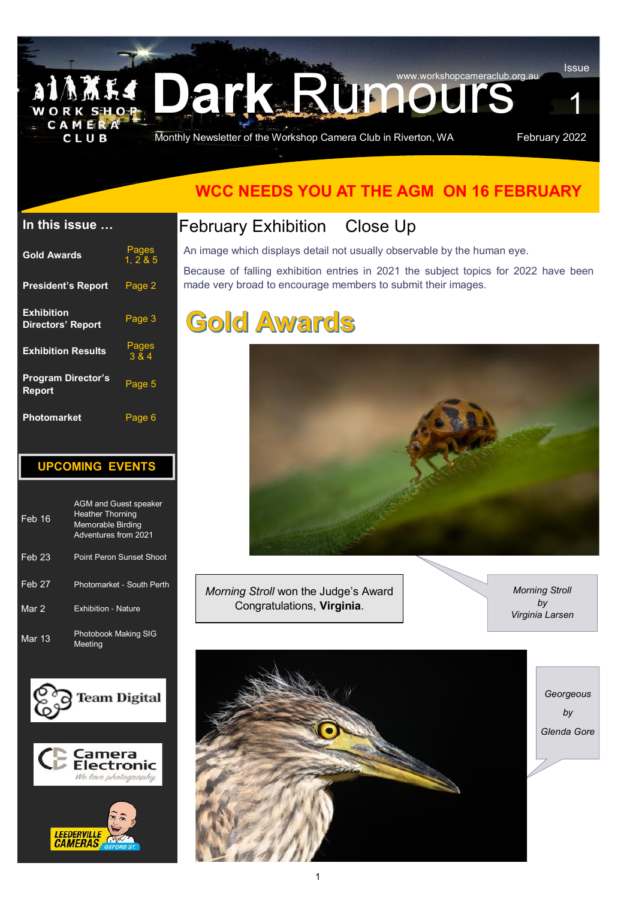## Monthly Newsletter of the Workshop Camera Club in Riverton, WA

**MES DARMINOURS** 

February 2022

1

**Issue** 

### **WCC NEEDS YOU AT THE AGM ON 16 FEBRUARY**

#### **In this issue …**

CAMER CLUB

| <b>Gold Awards</b>                            | Pages<br>1, 285      |
|-----------------------------------------------|----------------------|
| <b>President's Report</b>                     | Page 2               |
| <b>Exhibition</b><br><b>Directors' Report</b> | Page 3               |
| <b>Exhibition Results</b>                     | Pages<br>$3\bar{8}4$ |
| <b>Program Director's</b><br>Report           | Page 5               |
| <b>Photomarket</b>                            | Page                 |

#### **UPCOMING EVENTS**

| Feb 16            | AGM and Guest speaker<br><b>Heather Thorning</b><br>Memorable Birding<br>Adventures from 2021 |
|-------------------|-----------------------------------------------------------------------------------------------|
| Feb <sub>23</sub> | Point Peron Sunset Shoot                                                                      |
| Feb 27            | Photomarket - South Perth                                                                     |
| Mar 2             | <b>Exhibition - Nature</b>                                                                    |
| Mar 13            | Photobook Making SIG<br>Meetina                                                               |







#### February Exhibition Close Up

An image which displays detail not usually observable by the human eye.

Because of falling exhibition entries in 2021 the subject topics for 2022 have been made very broad to encourage members to submit their images.

## **Gold Awards**



*Morning Stroll* won the Judge's Award Congratulations, **Virginia**.

*Morning Stroll by Virginia Larsen*



*Georgeous by Glenda Gore*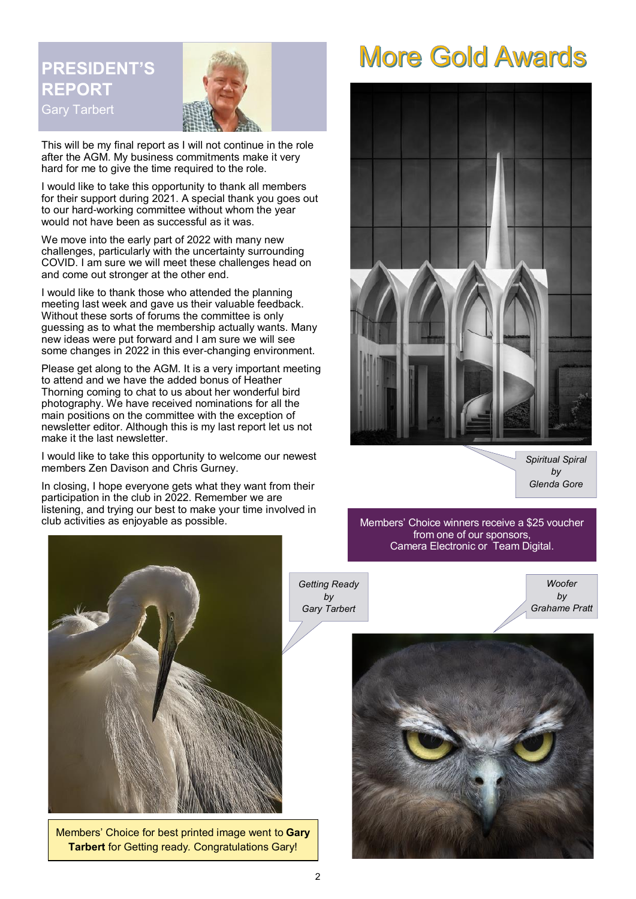## **PRESIDENT'S REPORT** Gary Tarbert



This will be my final report as I will not continue in the role after the AGM. My business commitments make it very hard for me to give the time required to the role.

I would like to take this opportunity to thank all members for their support during 2021. A special thank you goes out to our hard-working committee without whom the year would not have been as successful as it was.

We move into the early part of 2022 with many new challenges, particularly with the uncertainty surrounding COVID. I am sure we will meet these challenges head on and come out stronger at the other end.

I would like to thank those who attended the planning meeting last week and gave us their valuable feedback. Without these sorts of forums the committee is only guessing as to what the membership actually wants. Many new ideas were put forward and I am sure we will see some changes in 2022 in this ever-changing environment.

Please get along to the AGM. It is a very important meeting to attend and we have the added bonus of Heather Thorning coming to chat to us about her wonderful bird photography. We have received nominations for all the main positions on the committee with the exception of newsletter editor. Although this is my last report let us not make it the last newsletter.

I would like to take this opportunity to welcome our newest members Zen Davison and Chris Gurney.

In closing, I hope everyone gets what they want from their participation in the club in 2022. Remember we are listening, and trying our best to make your time involved in club activities as enjoyable as possible.

## **More Gold Awards**



*Spiritual Spiral by Glenda Gore*

Members' Choice winners receive a \$25 voucher from one of our sponsors, Camera Electronic or Team Digital.



Members' Choice for best printed image went to **Gary Tarbert** for Getting ready*.* Congratulations Gary!

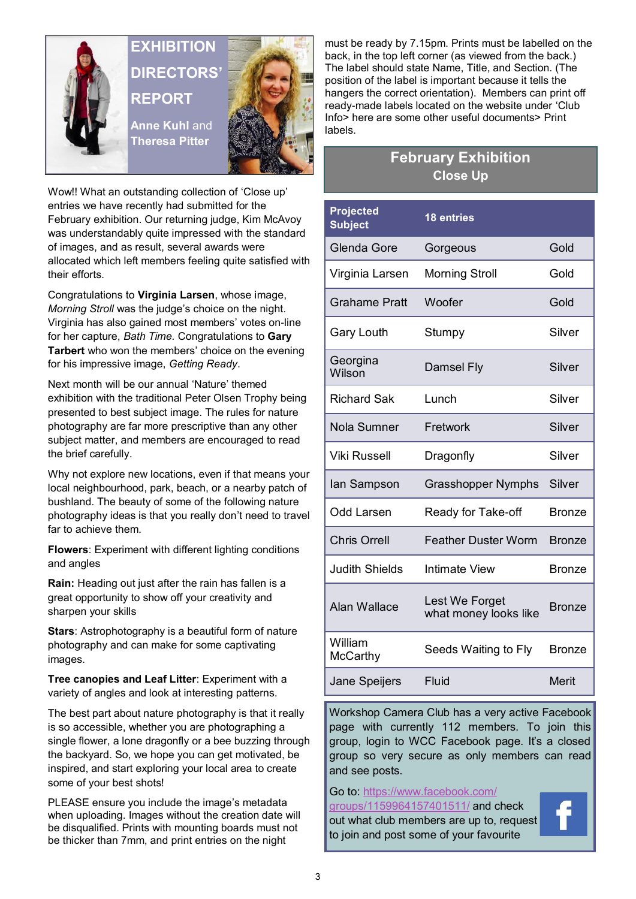

## **EXHIBITION DIRECTORS' REPORT**

**Anne Kuhl** and **Theresa Pitter**



Wow!! What an outstanding collection of 'Close up' entries we have recently had submitted for the February exhibition. Our returning judge, Kim McAvoy was understandably quite impressed with the standard of images, and as result, several awards were allocated which left members feeling quite satisfied with their efforts.

Congratulations to **Virginia Larsen**, whose image, *Morning Stroll* was the judge's choice on the night. Virginia has also gained most members' votes on-line for her capture, *Bath Time.* Congratulations to **Gary Tarbert** who won the members' choice on the evening for his impressive image, *Getting Ready*.

Next month will be our annual 'Nature' themed exhibition with the traditional Peter Olsen Trophy being presented to best subject image. The rules for nature photography are far more prescriptive than any other subject matter, and members are encouraged to read the brief carefully.

Why not explore new locations, even if that means your local neighbourhood, park, beach, or a nearby patch of bushland. The beauty of some of the following nature photography ideas is that you really don't need to travel far to achieve them.

**Flowers**: Experiment with different lighting conditions and angles

**Rain:** Heading out just after the rain has fallen is a great opportunity to show off your creativity and sharpen your skills

**Stars**: Astrophotography is a beautiful form of nature photography and can make for some captivating images.

**Tree canopies and Leaf Litter**: Experiment with a variety of angles and look at interesting patterns.

The best part about nature photography is that it really is so accessible, whether you are photographing a single flower, a lone dragonfly or a bee buzzing through the backyard. So, we hope you can get motivated, be inspired, and start exploring your local area to create some of your best shots!

PLEASE ensure you include the image's metadata when uploading. Images without the creation date will be disqualified. Prints with mounting boards must not be thicker than 7mm, and print entries on the night

must be ready by 7.15pm. Prints must be labelled on the back, in the top left corner (as viewed from the back.) The label should state Name, Title, and Section. (The position of the label is important because it tells the hangers the correct orientation). Members can print off ready-made labels located on the website under 'Club Info> here are some other useful documents> Print labels.

#### **February Exhibition Close Up**

| <b>Projected</b><br><b>Subject</b> | <b>18 entries</b>                       |               |
|------------------------------------|-----------------------------------------|---------------|
| Glenda Gore                        | Gorgeous                                | Gold          |
| Virginia Larsen                    | <b>Morning Stroll</b>                   | Gold          |
| Grahame Pratt                      | Woofer                                  | Gold          |
| <b>Gary Louth</b>                  | Stumpy                                  | Silver        |
| Georgina<br>Wilson                 | Damsel Fly                              | Silver        |
| <b>Richard Sak</b>                 | Lunch                                   | Silver        |
| Nola Sumner                        | Fretwork                                | Silver        |
| Viki Russell                       | Dragonfly                               | Silver        |
| lan Sampson                        | <b>Grasshopper Nymphs</b>               | Silver        |
| <b>Odd Larsen</b>                  | Ready for Take-off                      | Bronze        |
| <b>Chris Orrell</b>                | <b>Feather Duster Worm</b>              | Bronze        |
| <b>Judith Shields</b>              | <b>Intimate View</b>                    | <b>Bronze</b> |
| <b>Alan Wallace</b>                | Lest We Forget<br>what money looks like | <b>Bronze</b> |
| William<br>McCarthy                | Seeds Waiting to Fly                    | Bronze        |
| Jane Speijers                      | Fluid                                   | Merit         |

Workshop Camera Club has a very active Facebook page with currently 112 members. To join this group, login to WCC Facebook page. It's a closed group so very secure as only members can read and see posts.

Go to: [https://www.facebook.com/](https://www.facebook.com/groups/1159964157401511/)

[groups/1159964157401511/](https://www.facebook.com/groups/1159964157401511/) and check out what club members are up to, request to join and post some of your favourite

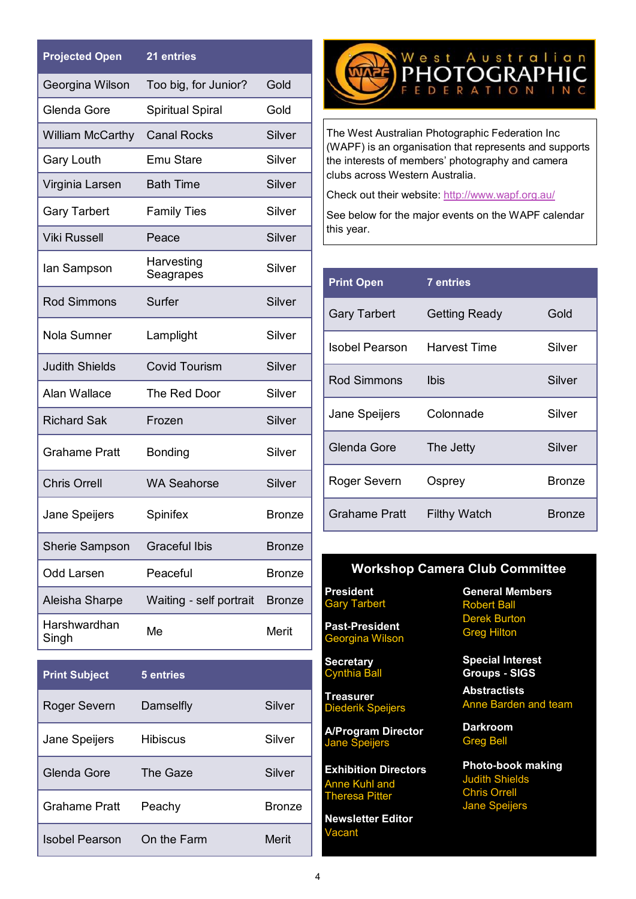| <b>Projected Open</b>   | 21 entries              |               |
|-------------------------|-------------------------|---------------|
| Georgina Wilson         | Too big, for Junior?    | Gold          |
| Glenda Gore             | <b>Spiritual Spiral</b> | Gold          |
| <b>William McCarthy</b> | <b>Canal Rocks</b>      | Silver        |
| <b>Gary Louth</b>       | Emu Stare               | Silver        |
| Virginia Larsen         | <b>Bath Time</b>        | Silver        |
| <b>Gary Tarbert</b>     | <b>Family Ties</b>      | Silver        |
| Viki Russell            | Peace                   | Silver        |
| lan Sampson             | Harvesting<br>Seagrapes | Silver        |
| <b>Rod Simmons</b>      | Surfer                  | Silver        |
| Nola Sumner             | Lamplight               | Silver        |
| <b>Judith Shields</b>   | <b>Covid Tourism</b>    | Silver        |
| Alan Wallace            | The Red Door            | Silver        |
| <b>Richard Sak</b>      | Frozen                  | Silver        |
| <b>Grahame Pratt</b>    | <b>Bonding</b>          | Silver        |
| <b>Chris Orrell</b>     | <b>WA Seahorse</b>      | Silver        |
| Jane Speijers           | Spinifex                | <b>Bronze</b> |
| <b>Sherie Sampson</b>   | <b>Graceful Ibis</b>    | <b>Bronze</b> |
| <b>Odd Larsen</b>       | Peaceful                | <b>Bronze</b> |
| Aleisha Sharpe          | Waiting - self portrait | <b>Bronze</b> |
| Harshwardhan<br>Singh   | Me                      | Merit         |

| <b>Print Subject</b> | 5 entries       |               |
|----------------------|-----------------|---------------|
| Roger Severn         | Damselfly       | Silver        |
| Jane Speijers        | <b>Hibiscus</b> | Silver        |
| Glenda Gore          | The Gaze        | Silver        |
| <b>Grahame Pratt</b> | Peachy          | <b>Bronze</b> |
| Isobel Pearson       | On the Farm     | Merit         |



The West Australian Photographic Federation Inc (WAPF) is an organisation that represents and supports the interests of members' photography and camera clubs across Western Australia.

Check out their website: [http://www.wapf.org.au/](http://www.wapf.org.au)

See below for the major events on the WAPF calendar this year.

| <b>Print Open</b>    | <b>7</b> entries    |        |
|----------------------|---------------------|--------|
| <b>Gary Tarbert</b>  | Getting Ready       | Gold   |
| Isobel Pearson       | Harvest Time        | Silver |
| <b>Rod Simmons</b>   | Ibis                | Silver |
| Jane Speijers        | Colonnade           | Silver |
| Glenda Gore          | The Jetty           | Silver |
| Roger Severn         | Osprey              | Bronze |
| <b>Grahame Pratt</b> | <b>Filthy Watch</b> | Bronze |

#### **Workshop Camera Club Committee**

**President**  Gary Tarbert

**Past-President**  Georgina Wilson

**Secretary** Cynthia Ball

**Treasurer**  Diederik Speijers

**A/Program Director** Jane Speijers

**Exhibition Directors** Anne Kuhl and Theresa Pitter

**Newsletter Editor** Vacant

**General Members**  Robert Ball Derek Burton Greg Hilton

**Special Interest Groups - SIGS**

**Abstractists** Anne Barden and team

**Darkroom** Greg Bell

**Photo-book making** Judith Shields Chris Orrell Jane Speijers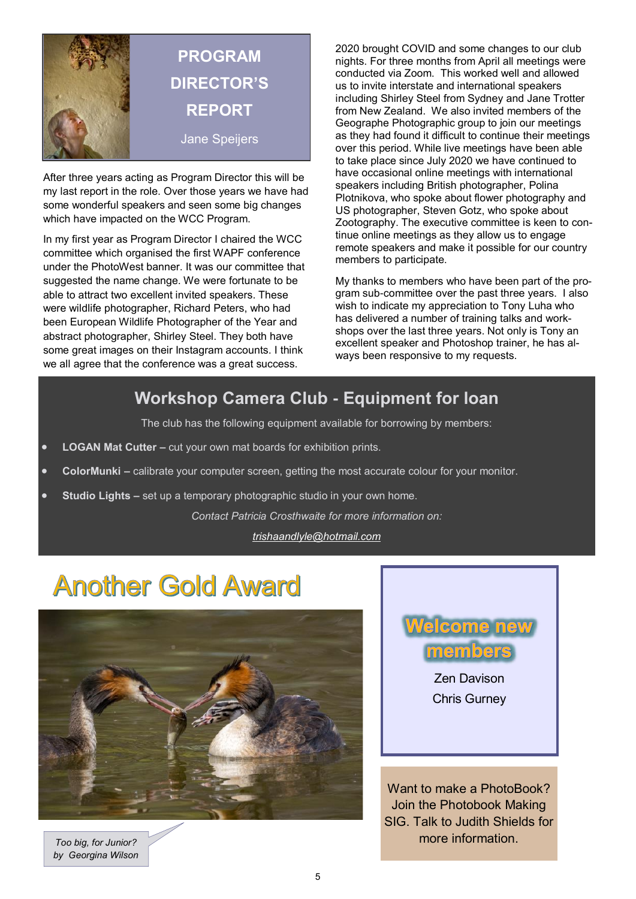

## **PROGRAM DIRECTOR'S REPORT** Jane Speijers

After three years acting as Program Director this will be my last report in the role. Over those years we have had some wonderful speakers and seen some big changes which have impacted on the WCC Program.

In my first year as Program Director I chaired the WCC committee which organised the first WAPF conference under the PhotoWest banner. It was our committee that suggested the name change. We were fortunate to be able to attract two excellent invited speakers. These were wildlife photographer, Richard Peters, who had been European Wildlife Photographer of the Year and abstract photographer, Shirley Steel. They both have some great images on their Instagram accounts. I think we all agree that the conference was a great success.

2020 brought COVID and some changes to our club nights. For three months from April all meetings were conducted via Zoom. This worked well and allowed us to invite interstate and international speakers including Shirley Steel from Sydney and Jane Trotter from New Zealand. We also invited members of the Geographe Photographic group to join our meetings as they had found it difficult to continue their meetings over this period. While live meetings have been able to take place since July 2020 we have continued to have occasional online meetings with international speakers including British photographer, Polina Plotnikova, who spoke about flower photography and US photographer, Steven Gotz, who spoke about Zootography. The executive committee is keen to continue online meetings as they allow us to engage remote speakers and make it possible for our country members to participate.

My thanks to members who have been part of the program sub-committee over the past three years. I also wish to indicate my appreciation to Tony Luha who has delivered a number of training talks and workshops over the last three years. Not only is Tony an excellent speaker and Photoshop trainer, he has always been responsive to my requests.

### **Workshop Camera Club - Equipment for loan**

The club has the following equipment available for borrowing by members:

- **LOGAN Mat Cutter –** cut your own mat boards for exhibition prints.
- **ColorMunki –** calibrate your computer screen, getting the most accurate colour for your monitor.
- **Studio Lights –** set up a temporary photographic studio in your own home.

*Contact Patricia Crosthwaite for more information on:*

*[trishaandlyle@hotmail.com](mailto:trishaandlyle@hotmail.com)*

# **Another Gold Award**



*Too big, for Junior? by Georgina Wilson*



Want to make a PhotoBook? Join the Photobook Making SIG. Talk to Judith Shields for more information.